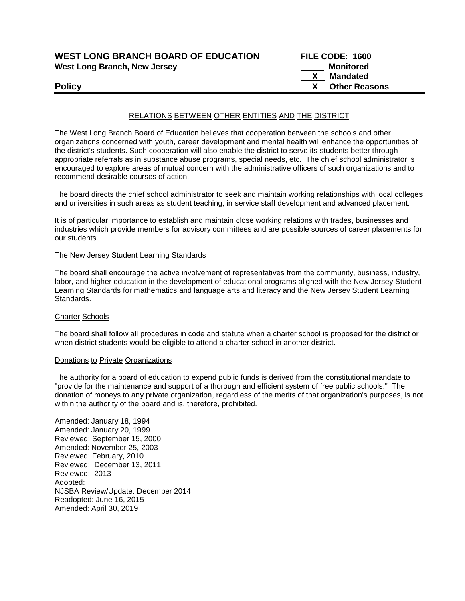| <b>WEST LONG BRANCH BOARD OF EDUCATION</b> | <b>FILE CODE: 1600</b> |
|--------------------------------------------|------------------------|
| West Long Branch, New Jersey               | Monitored              |
|                                            | Mandated               |
| <b>Policy</b>                              | <b>Other Reasons</b>   |

# RELATIONS BETWEEN OTHER ENTITIES AND THE DISTRICT

The West Long Branch Board of Education believes that cooperation between the schools and other organizations concerned with youth, career development and mental health will enhance the opportunities of the district's students. Such cooperation will also enable the district to serve its students better through appropriate referrals as in substance abuse programs, special needs, etc. The chief school administrator is encouraged to explore areas of mutual concern with the administrative officers of such organizations and to recommend desirable courses of action.

The board directs the chief school administrator to seek and maintain working relationships with local colleges and universities in such areas as student teaching, in service staff development and advanced placement.

It is of particular importance to establish and maintain close working relations with trades, businesses and industries which provide members for advisory committees and are possible sources of career placements for our students.

# The New Jersey Student Learning Standards

The board shall encourage the active involvement of representatives from the community, business, industry, labor, and higher education in the development of educational programs aligned with the New Jersey Student Learning Standards for mathematics and language arts and literacy and the New Jersey Student Learning Standards.

### Charter Schools

The board shall follow all procedures in code and statute when a charter school is proposed for the district or when district students would be eligible to attend a charter school in another district.

### Donations to Private Organizations

The authority for a board of education to expend public funds is derived from the constitutional mandate to "provide for the maintenance and support of a thorough and efficient system of free public schools." The donation of moneys to any private organization, regardless of the merits of that organization's purposes, is not within the authority of the board and is, therefore, prohibited.

Amended: January 18, 1994 Amended: January 20, 1999 Reviewed: September 15, 2000 Amended: November 25, 2003 Reviewed: February, 2010 Reviewed: December 13, 2011 Reviewed: 2013 Adopted: NJSBA Review/Update: December 2014 Readopted: June 16, 2015 Amended: April 30, 2019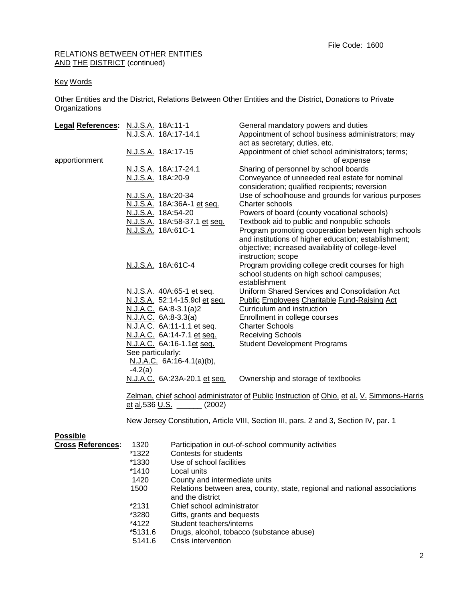# RELATIONS BETWEEN OTHER ENTITIES AND THE DISTRICT (continued)

# Key Words

Other Entities and the District, Relations Between Other Entities and the District, Donations to Private **Organizations** 

| Legal References: N.J.S.A. 18A:11-1 | N.J.S.A. 18A:17-14.1                                                                                                             |                                                   | General mandatory powers and duties<br>Appointment of school business administrators; may<br>act as secretary; duties, etc.                                                                                                            |
|-------------------------------------|----------------------------------------------------------------------------------------------------------------------------------|---------------------------------------------------|----------------------------------------------------------------------------------------------------------------------------------------------------------------------------------------------------------------------------------------|
| apportionment                       | N.J.S.A. 18A:17-15                                                                                                               |                                                   | Appointment of chief school administrators; terms;<br>of expense                                                                                                                                                                       |
|                                     | N.J.S.A. 18A:17-24.1<br>N.J.S.A. 18A:20-9                                                                                        |                                                   | Sharing of personnel by school boards<br>Conveyance of unneeded real estate for nominal<br>consideration; qualified recipients; reversion                                                                                              |
|                                     | N.J.S.A. 18A:20-34                                                                                                               | N.J.S.A. 18A:36A-1 et seq.                        | Use of schoolhouse and grounds for various purposes<br>Charter schools                                                                                                                                                                 |
|                                     | N.J.S.A. 18A:54-20                                                                                                               |                                                   | Powers of board (county vocational schools)                                                                                                                                                                                            |
|                                     | N.J.S.A. 18A:61C-1                                                                                                               | N.J.S.A. 18A:58-37.1 et seq.                      | Textbook aid to public and nonpublic schools<br>Program promoting cooperation between high schools<br>and institutions of higher education; establishment;<br>objective; increased availability of college-level<br>instruction; scope |
|                                     | N.J.S.A. 18A:61C-4                                                                                                               |                                                   | Program providing college credit courses for high<br>school students on high school campuses;<br>establishment                                                                                                                         |
|                                     |                                                                                                                                  | N.J.S.A. 40A:65-1 et seq.                         | <b>Uniform Shared Services and Consolidation Act</b>                                                                                                                                                                                   |
|                                     |                                                                                                                                  | N.J.S.A. 52:14-15.9cl et seq.                     | <b>Public Employees Charitable Fund-Raising Act</b><br>Curriculum and instruction                                                                                                                                                      |
|                                     | N.J.A.C. 6A:8-3.3(a)                                                                                                             | N.J.A.C. 6A:8-3.1(a)2                             | Enrollment in college courses                                                                                                                                                                                                          |
|                                     |                                                                                                                                  | N.J.A.C. 6A:11-1.1 et seq.                        | <b>Charter Schools</b>                                                                                                                                                                                                                 |
|                                     |                                                                                                                                  | N.J.A.C. 6A:14-7.1 et seq.                        | <b>Receiving Schools</b>                                                                                                                                                                                                               |
|                                     |                                                                                                                                  | N.J.A.C. 6A:16-1.1et seq.                         | <b>Student Development Programs</b>                                                                                                                                                                                                    |
|                                     | See particularly:<br>$-4.2(a)$                                                                                                   | N.J.A.C. 6A:16-4.1(a)(b),                         |                                                                                                                                                                                                                                        |
|                                     |                                                                                                                                  | N.J.A.C. 6A:23A-20.1 et seq.                      | Ownership and storage of textbooks                                                                                                                                                                                                     |
|                                     | Zelman, chief school administrator of Public Instruction of Ohio, et al. V. Simmons-Harris<br><u>et al, 536 U.S. ____</u> (2002) |                                                   |                                                                                                                                                                                                                                        |
|                                     |                                                                                                                                  |                                                   | New Jersey Constitution, Article VIII, Section III, pars. 2 and 3, Section IV, par. 1                                                                                                                                                  |
| <b>Possible</b>                     |                                                                                                                                  |                                                   |                                                                                                                                                                                                                                        |
| <b>Cross References:</b>            | 1320                                                                                                                             |                                                   | Participation in out-of-school community activities                                                                                                                                                                                    |
|                                     | *1322<br>*1330                                                                                                                   | Contests for students<br>Use of school facilities |                                                                                                                                                                                                                                        |
|                                     | *1410                                                                                                                            | Local units                                       |                                                                                                                                                                                                                                        |
|                                     | 1420                                                                                                                             | County and intermediate units                     |                                                                                                                                                                                                                                        |
|                                     | 1500                                                                                                                             |                                                   | Relations between area, county, state, regional and national associations                                                                                                                                                              |
|                                     | and the district                                                                                                                 |                                                   |                                                                                                                                                                                                                                        |
|                                     | *2131                                                                                                                            | Chief school administrator                        |                                                                                                                                                                                                                                        |
|                                     | *3280                                                                                                                            | Gifts, grants and bequests                        |                                                                                                                                                                                                                                        |
|                                     | *4122                                                                                                                            | Student teachers/interns                          |                                                                                                                                                                                                                                        |
|                                     | $*5131.6$                                                                                                                        |                                                   | Drugs, alcohol, tobacco (substance abuse)                                                                                                                                                                                              |
|                                     | E4A4C                                                                                                                            | Crioin intervention                               |                                                                                                                                                                                                                                        |

5141.6 Crisis intervention